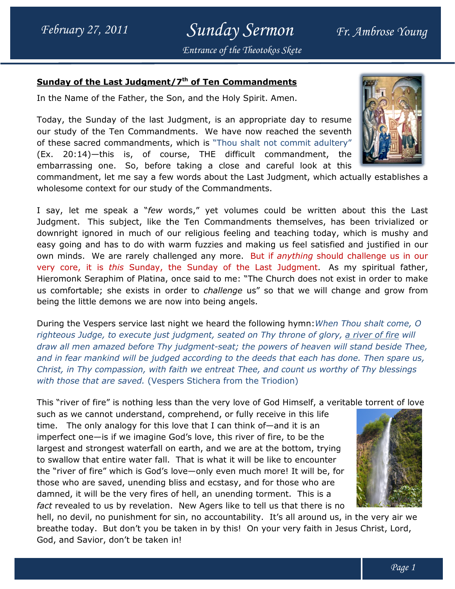### Sunday Sermon Fr. Ambrose Young Entrance of the Theotokos Skete

#### Sunday of the Last Judgment/7<sup>th</sup> of Ten Commandments

In the Name of the Father, the Son, and the Holy Spirit. Amen.

Today, the Sunday of the last Judgment, is an appropriate day to resume our study of the Ten Commandments. We have now reached the seventh of these sacred commandments, which is "Thou shalt not commit adultery" (Ex. 20:14)—this is, of course, THE difficult commandment, the embarrassing one. So, before taking a close and careful look at this ther, the Son, and the Holy Spirit. Amen.<br>the last Judgment, is an appropriate day to resume<br>Commandments. We have now reached the seventh



I say, let me speak a "few words," yet volumes could be written about this the Last Judgment. This subject, like the Ten Commandments themselves, has been trivialized or downright ignored in much of our religious feeling and teaching today, which is mushy and easy going and has to do with warm fuzzies and making us feel satisfied and justified in our own minds. We are rarely challenged any more. But if anything should challenge us in our very core, it is this Sunday, the Sunday of the Last Judgment. As my spiritual father, Hieromonk Seraphim of Platina, once said to me: "The Church does not exist in order to make Hieromonk Seraphim of Platina, once said to me: "The Church does not exist in order to make<br>us comfortable; she exists in order to *challenge* us" so that we will change and grow from being the little demons we are now into being angels. me speak a "*few* words," yet volumes could be written about this the Last<br>This subject, like the Ten Commandments themselves, has been trivialized or<br>ignored in much of our religious feeling and teaching today, which is m these sacred commandments, which is "Thou shalt not commit adultery"<br>
ix. 20:14)—this is, of course, THE difficult commandment, the<br>
mbarrassing one. So, before taking a close and careful look at this<br>
molesome context for

being the little demons we are now into being angels.<br>During the Vespers service last night we heard the following hymn:*When Thou shalt come, O* righteous Judge, to execute just judgment, seated on Thy throne of glory, <u>a river of fire</u> will righteous Judge, to execute just judgment, seated on Thy throne of glory, <u>a river of fire</u> will<br>draw all men amazed before Thy judgment-seat; the powers of heaven will stand beside Thee, and in fear mankind will be judged according to the deeds that each has done. Then spare us, Christ, in Thy compassion, with faith we entreat Thee, and count us worthy of Thy blessings with those that are saved. (Vespers Stichera from the Triodion)

This "river of fire" is nothing less than the very love of God Himself, a veritable torrent of love

such as we cannot understand, comprehend, or fully receive in this life time. The only analogy for this love that I can think of  $-$  and it is an imperfect one—is if we imagine God's love, this river of fire, to be the largest and strongest waterfall on earth, and we are at the bottom, trying imperfect one—is if we imagine God's love, this river of fire, to be the<br>largest and strongest waterfall on earth, and we are at the bottom, trying<br>to swallow that entire water fall. That is what it will be like to encoun the "river of fire" which is God's love—only even much more! It will be, for those who are saved, unending bliss and ecstasy, and for those who are damned, it will be the very fires of hell, an unending torment. This is a fact revealed to us by revelation. New Agers like to tell us that there is no the "river of fire" which is God's love—only even much more! It will be, for<br>those who are saved, unending bliss and ecstasy, and for those who are<br>damned, it will be the very fires of hell, an unending torment. This is a<br> (Vespers Stichera from the Triodion)<br>g less than the very love of God Himself, a veritable torrent of love<br>and, comprehend, or fully receive in this life<br>r this love that I can think of—and it is an



breathe today. But don't you be taken in by this! On your very faith in Jesus Christ, Lord, God, and Savior, don't be taken in!

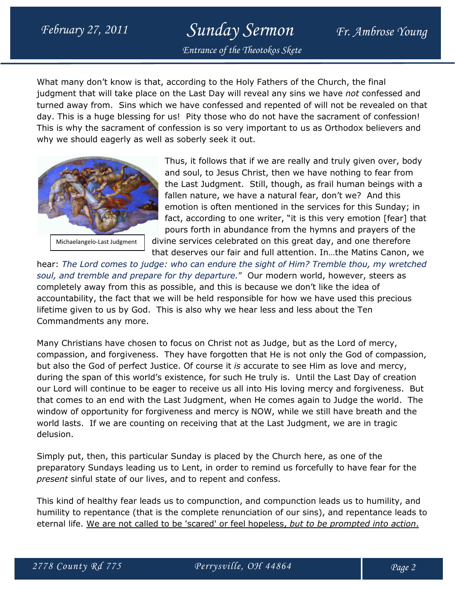# February 27, 2011 Sunday Sermon Fr. Ambrose Young

Entrance of the Theotokos Skete

What many don't know is that, according to the Holy Fathers of the Church, the final judgment that will take place on the Last Day will reveal any sins we have not confessed and turned away from. Sins which we have confessed and repented of will not be revealed on that day. This is a huge blessing for us! Pity those who do not have the sacrament of confession! This is why the sacrament of confession is so very important to us as Orthodox believers and why we should eagerly as well as soberly seek it out.



Michaelangelo-Last Judgment

Thus, it follows that if we are really and truly given over, body and soul, to Jesus Christ, then we have nothing to fear from the Last Judgment. Still, though, as frail human beings with a fallen nature, we have a natural fear, don't we? And this emotion is often mentioned in the services for this Sunday; in fact, according to one writer, "it is this very emotion [fear] that pours forth in abundance from the hymns and prayers of the divine services celebrated on this great day, and one therefore

that deserves our fair and full attention. In…the Matins Canon, we

hear: The Lord comes to judge: who can endure the sight of Him? Tremble thou, my wretched soul, and tremble and prepare for thy departure." Our modern world, however, steers as completely away from this as possible, and this is because we don't like the idea of accountability, the fact that we will be held responsible for how we have used this precious lifetime given to us by God. This is also why we hear less and less about the Ten Commandments any more.

Many Christians have chosen to focus on Christ not as Judge, but as the Lord of mercy, compassion, and forgiveness. They have forgotten that He is not only the God of compassion, but also the God of perfect Justice. Of course it is accurate to see Him as love and mercy, during the span of this world's existence, for such He truly is. Until the Last Day of creation our Lord will continue to be eager to receive us all into His loving mercy and forgiveness. But that comes to an end with the Last Judgment, when He comes again to Judge the world. The window of opportunity for forgiveness and mercy is NOW, while we still have breath and the world lasts. If we are counting on receiving that at the Last Judgment, we are in tragic delusion.

Simply put, then, this particular Sunday is placed by the Church here, as one of the preparatory Sundays leading us to Lent, in order to remind us forcefully to have fear for the present sinful state of our lives, and to repent and confess.

This kind of healthy fear leads us to compunction, and compunction leads us to humility, and humility to repentance (that is the complete renunciation of our sins), and repentance leads to eternal life. We are not called to be 'scared' or feel hopeless, but to be prompted into action.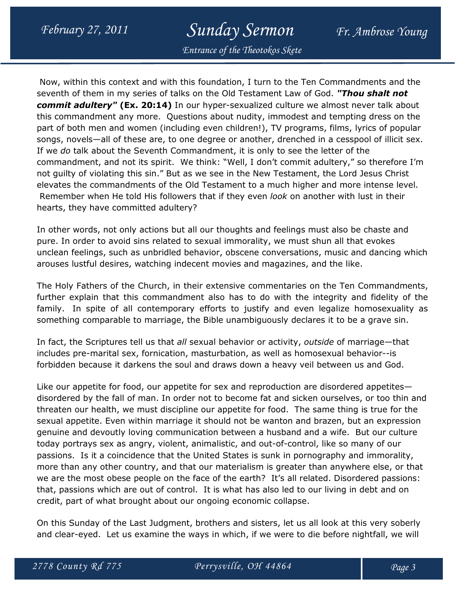## February 27, 2011 Sunday Sermon Fr. Ambrose Young

Entrance of the Theotokos Skete

 Now, within this context and with this foundation, I turn to the Ten Commandments and the seventh of them in my series of talks on the Old Testament Law of God. "Thou shalt not commit adultery" (Ex. 20:14) In our hyper-sexualized culture we almost never talk about this commandment any more. Questions about nudity, immodest and tempting dress on the part of both men and women (including even children!), TV programs, films, lyrics of popular songs, novels—all of these are, to one degree or another, drenched in a cesspool of illicit sex. If we do talk about the Seventh Commandment, it is only to see the letter of the commandment, and not its spirit. We think: "Well, I don't commit adultery," so therefore I'm not guilty of violating this sin." But as we see in the New Testament, the Lord Jesus Christ elevates the commandments of the Old Testament to a much higher and more intense level. Remember when He told His followers that if they even look on another with lust in their hearts, they have committed adultery?

In other words, not only actions but all our thoughts and feelings must also be chaste and pure. In order to avoid sins related to sexual immorality, we must shun all that evokes unclean feelings, such as unbridled behavior, obscene conversations, music and dancing which arouses lustful desires, watching indecent movies and magazines, and the like.

The Holy Fathers of the Church, in their extensive commentaries on the Ten Commandments, further explain that this commandment also has to do with the integrity and fidelity of the family. In spite of all contemporary efforts to justify and even legalize homosexuality as something comparable to marriage, the Bible unambiguously declares it to be a grave sin.

In fact, the Scriptures tell us that all sexual behavior or activity, outside of marriage—that includes pre-marital sex, fornication, masturbation, as well as homosexual behavior--is forbidden because it darkens the soul and draws down a heavy veil between us and God.

Like our appetite for food, our appetite for sex and reproduction are disordered appetites disordered by the fall of man. In order not to become fat and sicken ourselves, or too thin and threaten our health, we must discipline our appetite for food. The same thing is true for the sexual appetite. Even within marriage it should not be wanton and brazen, but an expression genuine and devoutly loving communication between a husband and a wife. But our culture today portrays sex as angry, violent, animalistic, and out-of-control, like so many of our passions. Is it a coincidence that the United States is sunk in pornography and immorality, more than any other country, and that our materialism is greater than anywhere else, or that we are the most obese people on the face of the earth? It's all related. Disordered passions: that, passions which are out of control. It is what has also led to our living in debt and on credit, part of what brought about our ongoing economic collapse.

On this Sunday of the Last Judgment, brothers and sisters, let us all look at this very soberly and clear-eyed. Let us examine the ways in which, if we were to die before nightfall, we will